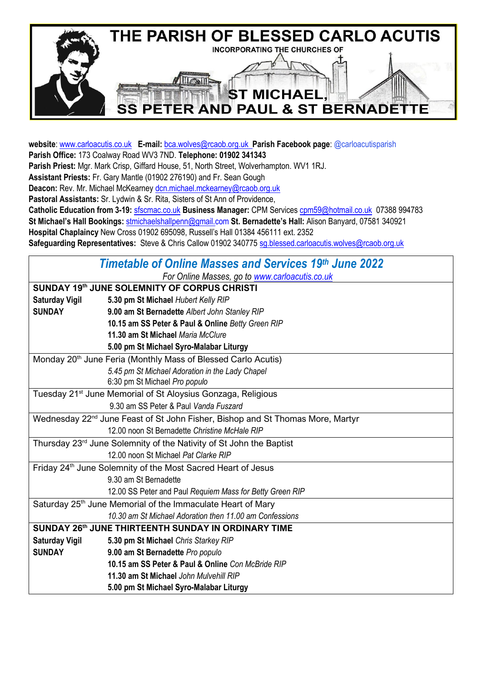

**website**[: www.carloacutis.co.uk](http://www.carloacutis.co.uk/) **E-mail:** [bca.wolves@rcaob.org.uk](mailto:bca.wolves@rcaob.org.uk) **Parish Facebook page**: @carloacutisparish **Parish Office:** 173 Coalway Road WV3 7ND. **Telephone: 01902 341343 Parish Priest:** Mgr. Mark Crisp, Giffard House, 51, North Street, Wolverhampton. WV1 1RJ. **Assistant Priests:** Fr. Gary Mantle (01902 276190) and Fr. Sean Gough **Deacon:** Rev. Mr. Michael McKearney [dcn.michael.mckearney@rcaob.org.uk](mailto:dcn.michael.mckearney@rcaob.org.uk) **Pastoral Assistants:** Sr. Lydwin & Sr. Rita, Sisters of St Ann of Providence, **Catholic Education from 3-19:** sfscmac.co.uk **Business Manager:** CPM Services [cpm59@hotmail.co.uk](mailto:cpm59@hotmail.co.uk) 07388 994783 **St Michael's Hall Bookings:** [stmichaelshallpenn@gmail.com](mailto:stmichaelshallpenn@gmail.com) **St. Bernadette's Hall:** Alison Banyard, 07581 340921 **Hospital Chaplaincy** New Cross 01902 695098, Russell's Hall 01384 456111 ext. 2352 **Safeguarding Representatives:** Steve & Chris Callow 01902 34077[5 sg.blessed.carloacutis.wolves@rcaob.org.uk](mailto:sg.blessed.carloacutis.wolves@rcaob.org.uk)

| Timetable of Online Masses and Services 19th June 2022                                     |                                                          |  |  |  |  |  |
|--------------------------------------------------------------------------------------------|----------------------------------------------------------|--|--|--|--|--|
| For Online Masses, go to www.carloacutis.co.uk                                             |                                                          |  |  |  |  |  |
| SUNDAY 19th JUNE SOLEMNITY OF CORPUS CHRISTI                                               |                                                          |  |  |  |  |  |
| <b>Saturday Vigil</b>                                                                      | 5.30 pm St Michael Hubert Kelly RIP                      |  |  |  |  |  |
| <b>SUNDAY</b>                                                                              | 9.00 am St Bernadette Albert John Stanley RIP            |  |  |  |  |  |
|                                                                                            | 10.15 am SS Peter & Paul & Online Betty Green RIP        |  |  |  |  |  |
|                                                                                            | 11.30 am St Michael Maria McClure                        |  |  |  |  |  |
|                                                                                            | 5.00 pm St Michael Syro-Malabar Liturgy                  |  |  |  |  |  |
| Monday 20 <sup>th</sup> June Feria (Monthly Mass of Blessed Carlo Acutis)                  |                                                          |  |  |  |  |  |
|                                                                                            | 5.45 pm St Michael Adoration in the Lady Chapel          |  |  |  |  |  |
|                                                                                            | 6:30 pm St Michael Pro populo                            |  |  |  |  |  |
| Tuesday 21 <sup>st</sup> June Memorial of St Aloysius Gonzaga, Religious                   |                                                          |  |  |  |  |  |
|                                                                                            | 9.30 am SS Peter & Paul Vanda Fuszard                    |  |  |  |  |  |
| Wednesday 22 <sup>nd</sup> June Feast of St John Fisher, Bishop and St Thomas More, Martyr |                                                          |  |  |  |  |  |
| 12.00 noon St Bernadette Christine McHale RIP                                              |                                                          |  |  |  |  |  |
| Thursday 23 <sup>rd</sup> June Solemnity of the Nativity of St John the Baptist            |                                                          |  |  |  |  |  |
|                                                                                            | 12.00 noon St Michael Pat Clarke RIP                     |  |  |  |  |  |
| Friday 24 <sup>th</sup> June Solemnity of the Most Sacred Heart of Jesus                   |                                                          |  |  |  |  |  |
|                                                                                            | 9.30 am St Bernadette                                    |  |  |  |  |  |
|                                                                                            | 12.00 SS Peter and Paul Requiem Mass for Betty Green RIP |  |  |  |  |  |
| Saturday 25 <sup>th</sup> June Memorial of the Immaculate Heart of Mary                    |                                                          |  |  |  |  |  |
|                                                                                            | 10.30 am St Michael Adoration then 11.00 am Confessions  |  |  |  |  |  |
| SUNDAY 26th JUNE THIRTEENTH SUNDAY IN ORDINARY TIME                                        |                                                          |  |  |  |  |  |
| <b>Saturday Vigil</b>                                                                      | 5.30 pm St Michael Chris Starkey RIP                     |  |  |  |  |  |
| <b>SUNDAY</b>                                                                              | 9.00 am St Bernadette Pro populo                         |  |  |  |  |  |
|                                                                                            | 10.15 am SS Peter & Paul & Online Con McBride RIP        |  |  |  |  |  |
|                                                                                            | 11.30 am St Michael John Mulvehill RIP                   |  |  |  |  |  |
|                                                                                            | 5.00 pm St Michael Syro-Malabar Liturgy                  |  |  |  |  |  |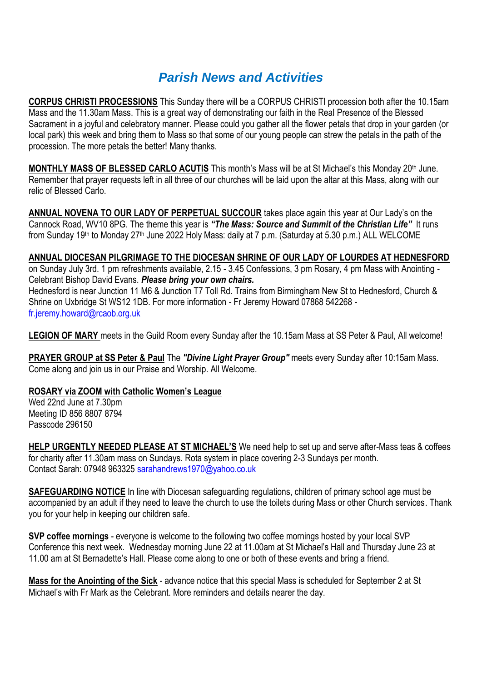## *Parish News and Activities*

**CORPUS CHRISTI PROCESSIONS** This Sunday there will be a CORPUS CHRISTI procession both after the 10.15am Mass and the 11.30am Mass. This is a great way of demonstrating our faith in the Real Presence of the Blessed Sacrament in a joyful and celebratory manner. Please could you gather all the flower petals that drop in your garden (or local park) this week and bring them to Mass so that some of our young people can strew the petals in the path of the procession. The more petals the better! Many thanks.

**MONTHLY MASS OF BLESSED CARLO ACUTIS** This month's Mass will be at St Michael's this Monday 20<sup>th</sup> June. Remember that prayer requests left in all three of our churches will be laid upon the altar at this Mass, along with our relic of Blessed Carlo.

**ANNUAL NOVENA TO OUR LADY OF PERPETUAL SUCCOUR** takes place again this year at Our Lady's on the Cannock Road, WV10 8PG. The theme this year is *"The Mass: Source and Summit of the Christian Life"* It runs from Sunday 19<sup>th</sup> to Monday 27<sup>th</sup> June 2022 Holy Mass: daily at 7 p.m. (Saturday at 5.30 p.m.) ALL WELCOME

### **ANNUAL DIOCESAN PILGRIMAGE TO THE DIOCESAN SHRINE OF OUR LADY OF LOURDES AT HEDNESFORD**

on Sunday July 3rd. 1 pm refreshments available, 2.15 - 3.45 Confessions, 3 pm Rosary, 4 pm Mass with Anointing - Celebrant Bishop David Evans. *Please bring your own chairs.* Hednesford is near Junction 11 M6 & Junction T7 Toll Rd. Trains from Birmingham New St to Hednesford, Church & Shrine on Uxbridge St WS12 1DB. For more information - Fr Jeremy Howard 07868 542268 [fr.jeremy.howard@rcaob.org.uk](mailto:fr.jeremy.howard@rcaob.org.uk)

**LEGION OF MARY** meets in the Guild Room every Sunday after the 10.15am Mass at SS Peter & Paul, All welcome!

**PRAYER GROUP at SS Peter & Paul** The *"Divine Light Prayer Group"* meets every Sunday after 10:15am Mass. Come along and join us in our Praise and Worship. All Welcome.

### **ROSARY via ZOOM with Catholic Women's League**

Wed 22nd June at 7.30pm Meeting ID 856 8807 8794 Passcode 296150

**HELP URGENTLY NEEDED PLEASE AT ST MICHAEL'S** We need help to set up and serve after-Mass teas & coffees for charity after 11.30am mass on Sundays. Rota system in place covering 2-3 Sundays per month. Contact Sarah: 07948 963325 [sarahandrews1970@yahoo.co.uk](mailto:sarahandrews1970@yahoo.co.uk)

**SAFEGUARDING NOTICE** In line with Diocesan safeguarding regulations, children of primary school age must be accompanied by an adult if they need to leave the church to use the toilets during Mass or other Church services. Thank you for your help in keeping our children safe.

**SVP coffee mornings** - everyone is welcome to the following two coffee mornings hosted by your local SVP Conference this next week. Wednesday morning June 22 at 11.00am at St Michael's Hall and Thursday June 23 at 11.00 am at St Bernadette's Hall. Please come along to one or both of these events and bring a friend.

**Mass for the Anointing of the Sick** - advance notice that this special Mass is scheduled for September 2 at St Michael's with Fr Mark as the Celebrant. More reminders and details nearer the day.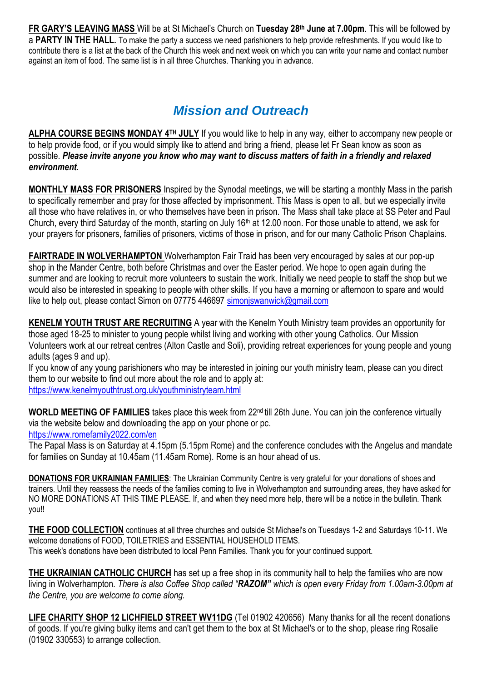**FR GARY'S LEAVING MASS** Will be at St Michael's Church on **Tuesday 28 th June at 7.00pm**. This will be followed by a **PARTY IN THE HALL.** To make the party a success we need parishioners to help provide refreshments. If you would like to contribute there is a list at the back of the Church this week and next week on which you can write your name and contact number against an item of food. The same list is in all three Churches. Thanking you in advance.

# *Mission and Outreach*

**ALPHA COURSE BEGINS MONDAY 4TH JULY** If you would like to help in any way, either to accompany new people or to help provide food, or if you would simply like to attend and bring a friend, please let Fr Sean know as soon as possible. *Please invite anyone you know who may want to discuss matters of faith in a friendly and relaxed environment.*

**MONTHLY MASS FOR PRISONERS** Inspired by the Synodal meetings, we will be starting a monthly Mass in the parish to specifically remember and pray for those affected by imprisonment. This Mass is open to all, but we especially invite all those who have relatives in, or who themselves have been in prison. The Mass shall take place at SS Peter and Paul Church, every third Saturday of the month, starting on July  $16<sup>th</sup>$  at 12.00 noon. For those unable to attend, we ask for your prayers for prisoners, families of prisoners, victims of those in prison, and for our many Catholic Prison Chaplains.

**FAIRTRADE IN WOLVERHAMPTON** Wolverhampton Fair Traid has been very encouraged by sales at our pop-up shop in the Mander Centre, both before Christmas and over the Easter period. We hope to open again during the summer and are looking to recruit more volunteers to sustain the work. Initially we need people to staff the shop but we would also be interested in speaking to people with other skills. If you have a morning or afternoon to spare and would like to help out, please contact Simon on 07775 446697 simoniswanwick@gmail.com

**KENELM YOUTH TRUST ARE RECRUITING** A year with the Kenelm Youth Ministry team provides an opportunity for those aged 18-25 to minister to young people whilst living and working with other young Catholics. Our Mission Volunteers work at our retreat centres (Alton Castle and Soli), providing retreat experiences for young people and young adults (ages 9 and up).

If you know of any young parishioners who may be interested in joining our youth ministry team, please can you direct them to our website to find out more about the role and to apply at: <https://www.kenelmyouthtrust.org.uk/youthministryteam.html>

**WORLD MEETING OF FAMILIES** takes place this week from 22nd till 26th June. You can join the conference virtually via the website below and downloading the app on your phone or pc. <https://www.romefamily2022.com/en>

The Papal Mass is on Saturday at 4.15pm (5.15pm Rome) and the conference concludes with the Angelus and mandate for families on Sunday at 10.45am (11.45am Rome). Rome is an hour ahead of us.

**DONATIONS FOR UKRAINIAN FAMILIES**: The Ukrainian Community Centre is very grateful for your donations of shoes and trainers. Until they reassess the needs of the families coming to live in Wolverhampton and surrounding areas, they have asked for NO MORE DONATIONS AT THIS TIME PLEASE. If, and when they need more help, there will be a notice in the bulletin. Thank you!!

**THE FOOD COLLECTION** continues at all three churches and outside St Michael's on Tuesdays 1-2 and Saturdays 10-11. We welcome donations of FOOD, TOILETRIES and ESSENTIAL HOUSEHOLD ITEMS. This week's donations have been distributed to local Penn Families. Thank you for your continued support.

**THE UKRAINIAN CATHOLIC CHURCH** has set up a free shop in its community hall to help the families who are now living in Wolverhampton. *There is also Coffee Shop called "RAZOM" which is open every Friday from 1.00am-3.00pm at the Centre, you are welcome to come along.*

**LIFE CHARITY SHOP 12 LICHFIELD STREET WV11DG** (Tel 01902 420656) Many thanks for all the recent donations of goods. If you're giving bulky items and can't get them to the box at St Michael's or to the shop, please ring Rosalie (01902 330553) to arrange collection.